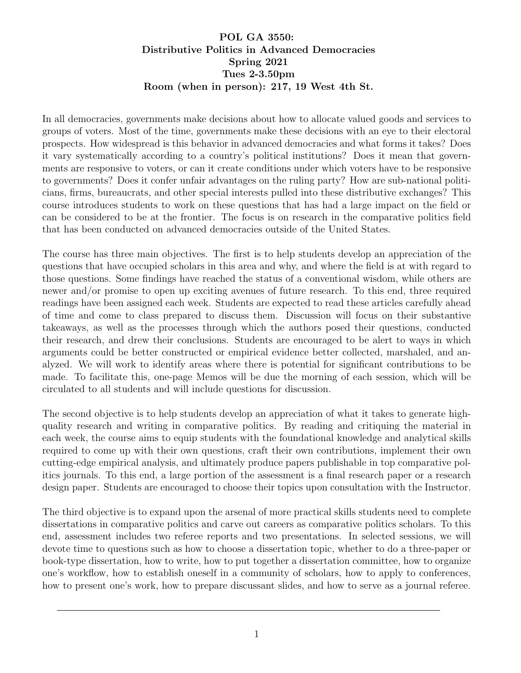## POL GA 3550: Distributive Politics in Advanced Democracies Spring 2021 Tues 2-3.50pm Room (when in person): 217, 19 West 4th St.

In all democracies, governments make decisions about how to allocate valued goods and services to groups of voters. Most of the time, governments make these decisions with an eye to their electoral prospects. How widespread is this behavior in advanced democracies and what forms it takes? Does it vary systematically according to a country's political institutions? Does it mean that governments are responsive to voters, or can it create conditions under which voters have to be responsive to governments? Does it confer unfair advantages on the ruling party? How are sub-national politicians, firms, bureaucrats, and other special interests pulled into these distributive exchanges? This course introduces students to work on these questions that has had a large impact on the field or can be considered to be at the frontier. The focus is on research in the comparative politics field that has been conducted on advanced democracies outside of the United States.

The course has three main objectives. The first is to help students develop an appreciation of the questions that have occupied scholars in this area and why, and where the field is at with regard to those questions. Some findings have reached the status of a conventional wisdom, while others are newer and/or promise to open up exciting avenues of future research. To this end, three required readings have been assigned each week. Students are expected to read these articles carefully ahead of time and come to class prepared to discuss them. Discussion will focus on their substantive takeaways, as well as the processes through which the authors posed their questions, conducted their research, and drew their conclusions. Students are encouraged to be alert to ways in which arguments could be better constructed or empirical evidence better collected, marshaled, and analyzed. We will work to identify areas where there is potential for significant contributions to be made. To facilitate this, one-page Memos will be due the morning of each session, which will be circulated to all students and will include questions for discussion.

The second objective is to help students develop an appreciation of what it takes to generate highquality research and writing in comparative politics. By reading and critiquing the material in each week, the course aims to equip students with the foundational knowledge and analytical skills required to come up with their own questions, craft their own contributions, implement their own cutting-edge empirical analysis, and ultimately produce papers publishable in top comparative politics journals. To this end, a large portion of the assessment is a final research paper or a research design paper. Students are encouraged to choose their topics upon consultation with the Instructor.

The third objective is to expand upon the arsenal of more practical skills students need to complete dissertations in comparative politics and carve out careers as comparative politics scholars. To this end, assessment includes two referee reports and two presentations. In selected sessions, we will devote time to questions such as how to choose a dissertation topic, whether to do a three-paper or book-type dissertation, how to write, how to put together a dissertation committee, how to organize one's workflow, how to establish oneself in a community of scholars, how to apply to conferences, how to present one's work, how to prepare discussant slides, and how to serve as a journal referee.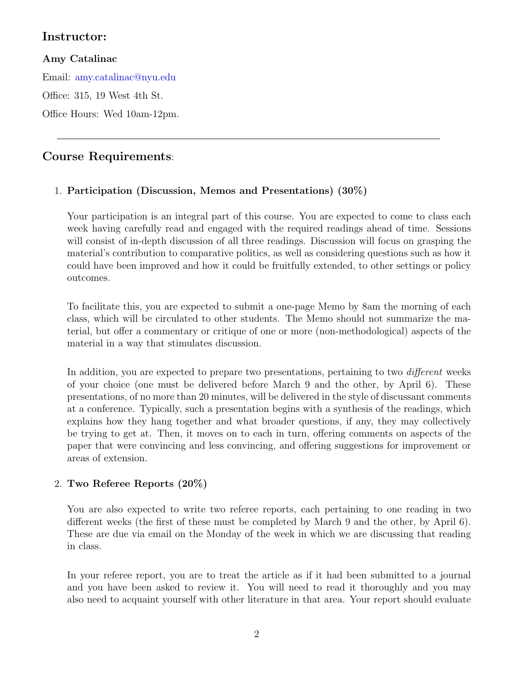# Instructor:

## Amy Catalinac

Email: [amy.catalinac@nyu.edu](mailto:amy.catalinac@nyu.edu)

Office: 315, 19 West 4th St.

Office Hours: Wed 10am-12pm.

# Course Requirements:

## 1. Participation (Discussion, Memos and Presentations) (30%)

Your participation is an integral part of this course. You are expected to come to class each week having carefully read and engaged with the required readings ahead of time. Sessions will consist of in-depth discussion of all three readings. Discussion will focus on grasping the material's contribution to comparative politics, as well as considering questions such as how it could have been improved and how it could be fruitfully extended, to other settings or policy outcomes.

To facilitate this, you are expected to submit a one-page Memo by 8am the morning of each class, which will be circulated to other students. The Memo should not summarize the material, but offer a commentary or critique of one or more (non-methodological) aspects of the material in a way that stimulates discussion.

In addition, you are expected to prepare two presentations, pertaining to two *different* weeks of your choice (one must be delivered before March 9 and the other, by April 6). These presentations, of no more than 20 minutes, will be delivered in the style of discussant comments at a conference. Typically, such a presentation begins with a synthesis of the readings, which explains how they hang together and what broader questions, if any, they may collectively be trying to get at. Then, it moves on to each in turn, offering comments on aspects of the paper that were convincing and less convincing, and offering suggestions for improvement or areas of extension.

## 2. Two Referee Reports (20%)

You are also expected to write two referee reports, each pertaining to one reading in two different weeks (the first of these must be completed by March 9 and the other, by April 6). These are due via email on the Monday of the week in which we are discussing that reading in class.

In your referee report, you are to treat the article as if it had been submitted to a journal and you have been asked to review it. You will need to read it thoroughly and you may also need to acquaint yourself with other literature in that area. Your report should evaluate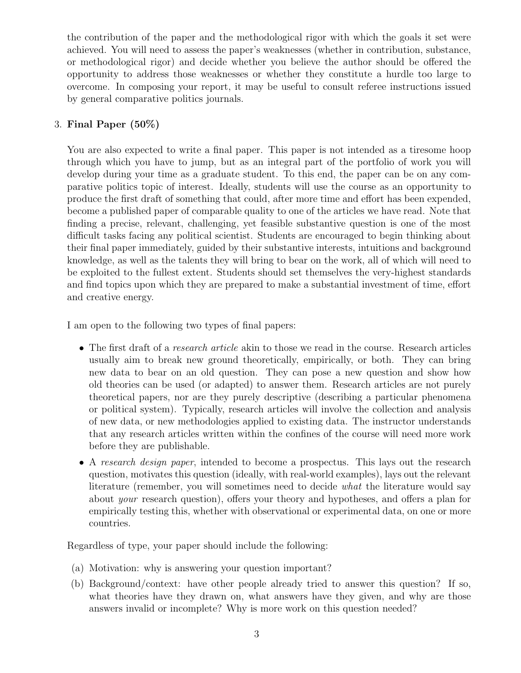the contribution of the paper and the methodological rigor with which the goals it set were achieved. You will need to assess the paper's weaknesses (whether in contribution, substance, or methodological rigor) and decide whether you believe the author should be offered the opportunity to address those weaknesses or whether they constitute a hurdle too large to overcome. In composing your report, it may be useful to consult referee instructions issued by general comparative politics journals.

## 3. Final Paper (50%)

You are also expected to write a final paper. This paper is not intended as a tiresome hoop through which you have to jump, but as an integral part of the portfolio of work you will develop during your time as a graduate student. To this end, the paper can be on any comparative politics topic of interest. Ideally, students will use the course as an opportunity to produce the first draft of something that could, after more time and effort has been expended, become a published paper of comparable quality to one of the articles we have read. Note that finding a precise, relevant, challenging, yet feasible substantive question is one of the most difficult tasks facing any political scientist. Students are encouraged to begin thinking about their final paper immediately, guided by their substantive interests, intuitions and background knowledge, as well as the talents they will bring to bear on the work, all of which will need to be exploited to the fullest extent. Students should set themselves the very-highest standards and find topics upon which they are prepared to make a substantial investment of time, effort and creative energy.

I am open to the following two types of final papers:

- The first draft of a *research article* akin to those we read in the course. Research articles usually aim to break new ground theoretically, empirically, or both. They can bring new data to bear on an old question. They can pose a new question and show how old theories can be used (or adapted) to answer them. Research articles are not purely theoretical papers, nor are they purely descriptive (describing a particular phenomena or political system). Typically, research articles will involve the collection and analysis of new data, or new methodologies applied to existing data. The instructor understands that any research articles written within the confines of the course will need more work before they are publishable.
- A research design paper, intended to become a prospectus. This lays out the research question, motivates this question (ideally, with real-world examples), lays out the relevant literature (remember, you will sometimes need to decide what the literature would say about your research question), offers your theory and hypotheses, and offers a plan for empirically testing this, whether with observational or experimental data, on one or more countries.

Regardless of type, your paper should include the following:

- (a) Motivation: why is answering your question important?
- (b) Background/context: have other people already tried to answer this question? If so, what theories have they drawn on, what answers have they given, and why are those answers invalid or incomplete? Why is more work on this question needed?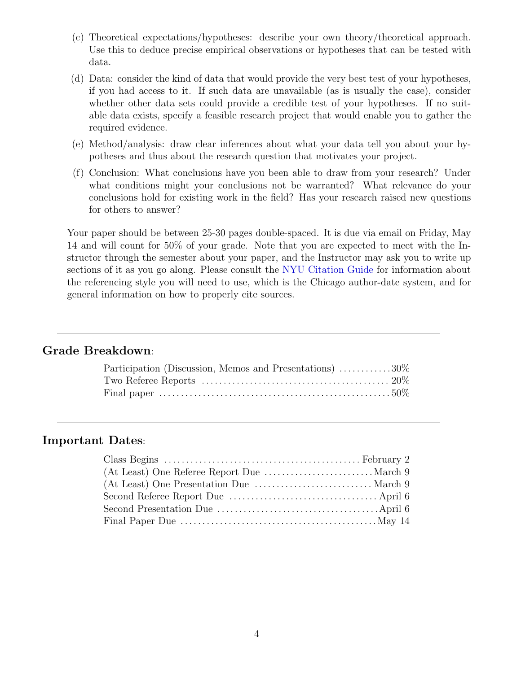- (c) Theoretical expectations/hypotheses: describe your own theory/theoretical approach. Use this to deduce precise empirical observations or hypotheses that can be tested with data.
- (d) Data: consider the kind of data that would provide the very best test of your hypotheses, if you had access to it. If such data are unavailable (as is usually the case), consider whether other data sets could provide a credible test of your hypotheses. If no suitable data exists, specify a feasible research project that would enable you to gather the required evidence.
- (e) Method/analysis: draw clear inferences about what your data tell you about your hypotheses and thus about the research question that motivates your project.
- (f) Conclusion: What conclusions have you been able to draw from your research? Under what conditions might your conclusions not be warranted? What relevance do your conclusions hold for existing work in the field? Has your research raised new questions for others to answer?

Your paper should be between 25-30 pages double-spaced. It is due via email on Friday, May 14 and will count for 50% of your grade. Note that you are expected to meet with the Instructor through the semester about your paper, and the Instructor may ask you to write up sections of it as you go along. Please consult the [NYU Citation Guide](http://guides.nyu.edu/c.php?g=276562&p=1844734) for information about the referencing style you will need to use, which is the Chicago author-date system, and for general information on how to properly cite sources.

## Grade Breakdown:

| Participation (Discussion, Memos and Presentations) 30% |  |
|---------------------------------------------------------|--|
|                                                         |  |
|                                                         |  |

## Important Dates: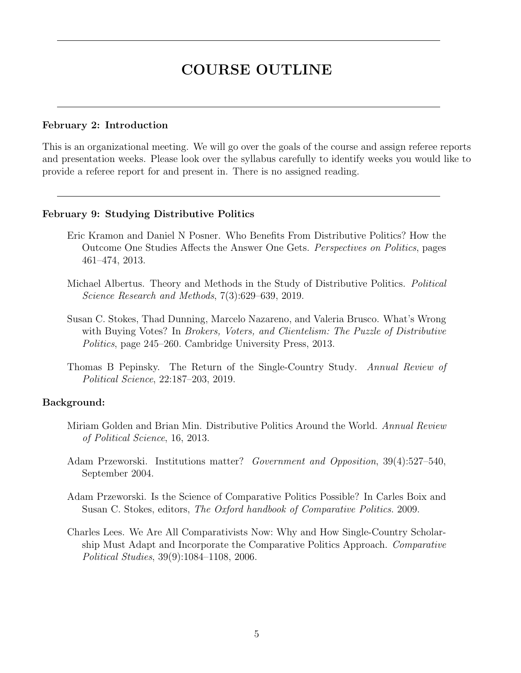# COURSE OUTLINE

#### February 2: Introduction

This is an organizational meeting. We will go over the goals of the course and assign referee reports and presentation weeks. Please look over the syllabus carefully to identify weeks you would like to provide a referee report for and present in. There is no assigned reading.

#### February 9: Studying Distributive Politics

- Eric Kramon and Daniel N Posner. Who Benefits From Distributive Politics? How the Outcome One Studies Affects the Answer One Gets. Perspectives on Politics, pages 461–474, 2013.
- Michael Albertus. Theory and Methods in the Study of Distributive Politics. *Political* Science Research and Methods, 7(3):629–639, 2019.
- Susan C. Stokes, Thad Dunning, Marcelo Nazareno, and Valeria Brusco. What's Wrong with Buying Votes? In *Brokers, Voters, and Clientelism: The Puzzle of Distributive* Politics, page 245–260. Cambridge University Press, 2013.
- Thomas B Pepinsky. The Return of the Single-Country Study. Annual Review of Political Science, 22:187–203, 2019.

## Background:

- Miriam Golden and Brian Min. Distributive Politics Around the World. Annual Review of Political Science, 16, 2013.
- Adam Przeworski. Institutions matter? Government and Opposition, 39(4):527–540, September 2004.
- Adam Przeworski. Is the Science of Comparative Politics Possible? In Carles Boix and Susan C. Stokes, editors, The Oxford handbook of Comparative Politics. 2009.
- Charles Lees. We Are All Comparativists Now: Why and How Single-Country Scholarship Must Adapt and Incorporate the Comparative Politics Approach. Comparative Political Studies, 39(9):1084–1108, 2006.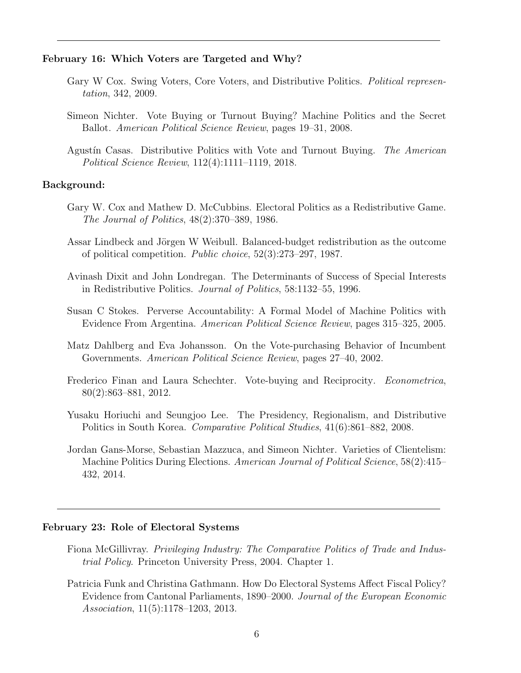#### February 16: Which Voters are Targeted and Why?

- Gary W Cox. Swing Voters, Core Voters, and Distributive Politics. Political representation, 342, 2009.
- Simeon Nichter. Vote Buying or Turnout Buying? Machine Politics and the Secret Ballot. American Political Science Review, pages 19–31, 2008.
- Agustín Casas. Distributive Politics with Vote and Turnout Buying. The American Political Science Review, 112(4):1111–1119, 2018.

#### Background:

- Gary W. Cox and Mathew D. McCubbins. Electoral Politics as a Redistributive Game. The Journal of Politics, 48(2):370–389, 1986.
- Assar Lindbeck and Jörgen W Weibull. Balanced-budget redistribution as the outcome of political competition. Public choice, 52(3):273–297, 1987.
- Avinash Dixit and John Londregan. The Determinants of Success of Special Interests in Redistributive Politics. Journal of Politics, 58:1132–55, 1996.
- Susan C Stokes. Perverse Accountability: A Formal Model of Machine Politics with Evidence From Argentina. American Political Science Review, pages 315–325, 2005.
- Matz Dahlberg and Eva Johansson. On the Vote-purchasing Behavior of Incumbent Governments. American Political Science Review, pages 27–40, 2002.
- Frederico Finan and Laura Schechter. Vote-buying and Reciprocity. Econometrica, 80(2):863–881, 2012.
- Yusaku Horiuchi and Seungjoo Lee. The Presidency, Regionalism, and Distributive Politics in South Korea. Comparative Political Studies, 41(6):861–882, 2008.
- Jordan Gans-Morse, Sebastian Mazzuca, and Simeon Nichter. Varieties of Clientelism: Machine Politics During Elections. American Journal of Political Science, 58(2):415– 432, 2014.

#### February 23: Role of Electoral Systems

- Fiona McGillivray. Privileging Industry: The Comparative Politics of Trade and Industrial Policy. Princeton University Press, 2004. Chapter 1.
- Patricia Funk and Christina Gathmann. How Do Electoral Systems Affect Fiscal Policy? Evidence from Cantonal Parliaments, 1890–2000. Journal of the European Economic Association, 11(5):1178–1203, 2013.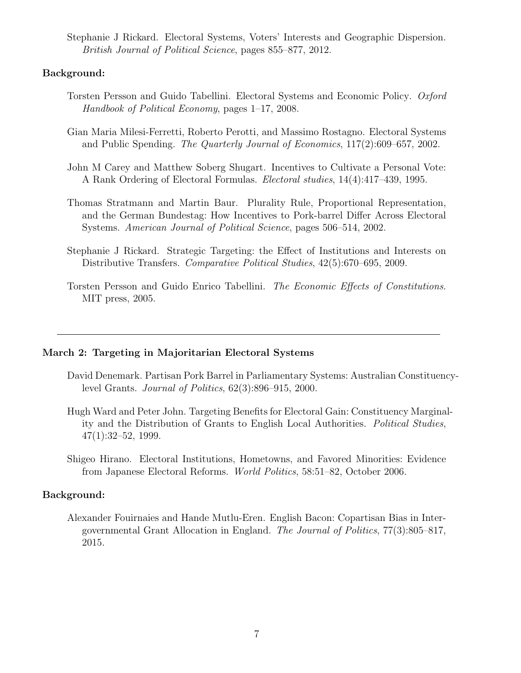Stephanie J Rickard. Electoral Systems, Voters' Interests and Geographic Dispersion. British Journal of Political Science, pages 855–877, 2012.

#### Background:

- Torsten Persson and Guido Tabellini. Electoral Systems and Economic Policy. Oxford Handbook of Political Economy, pages 1–17, 2008.
- Gian Maria Milesi-Ferretti, Roberto Perotti, and Massimo Rostagno. Electoral Systems and Public Spending. The Quarterly Journal of Economics, 117(2):609–657, 2002.
- John M Carey and Matthew Soberg Shugart. Incentives to Cultivate a Personal Vote: A Rank Ordering of Electoral Formulas. Electoral studies, 14(4):417–439, 1995.
- Thomas Stratmann and Martin Baur. Plurality Rule, Proportional Representation, and the German Bundestag: How Incentives to Pork-barrel Differ Across Electoral Systems. American Journal of Political Science, pages 506–514, 2002.
- Stephanie J Rickard. Strategic Targeting: the Effect of Institutions and Interests on Distributive Transfers. Comparative Political Studies, 42(5):670–695, 2009.
- Torsten Persson and Guido Enrico Tabellini. The Economic Effects of Constitutions. MIT press, 2005.

#### March 2: Targeting in Majoritarian Electoral Systems

- David Denemark. Partisan Pork Barrel in Parliamentary Systems: Australian Constituencylevel Grants. Journal of Politics, 62(3):896–915, 2000.
- Hugh Ward and Peter John. Targeting Benefits for Electoral Gain: Constituency Marginality and the Distribution of Grants to English Local Authorities. Political Studies,  $47(1):32-52, 1999.$
- Shigeo Hirano. Electoral Institutions, Hometowns, and Favored Minorities: Evidence from Japanese Electoral Reforms. World Politics, 58:51–82, October 2006.

#### Background:

Alexander Fouirnaies and Hande Mutlu-Eren. English Bacon: Copartisan Bias in Intergovernmental Grant Allocation in England. The Journal of Politics, 77(3):805–817, 2015.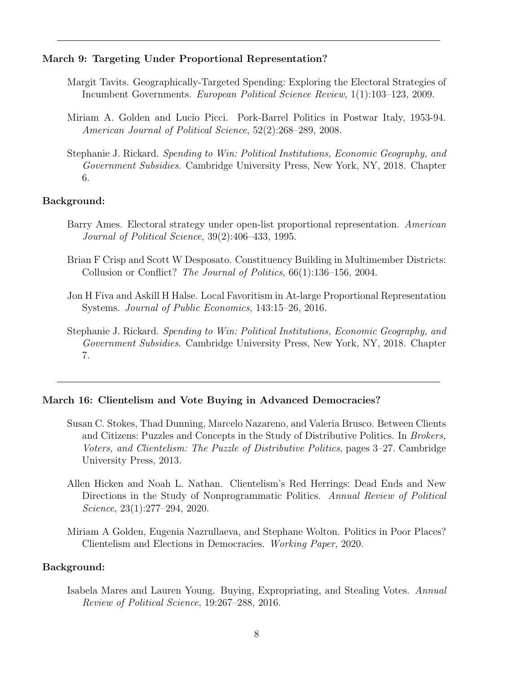#### March 9: Targeting Under Proportional Representation?

- Margit Tavits. Geographically-Targeted Spending: Exploring the Electoral Strategies of Incumbent Governments. European Political Science Review, 1(1):103–123, 2009.
- Miriam A. Golden and Lucio Picci. Pork-Barrel Politics in Postwar Italy, 1953-94. American Journal of Political Science, 52(2):268–289, 2008.
- Stephanie J. Rickard. Spending to Win: Political Institutions, Economic Geography, and Government Subsidies. Cambridge University Press, New York, NY, 2018. Chapter 6.

#### Background:

- Barry Ames. Electoral strategy under open-list proportional representation. American Journal of Political Science, 39(2):406–433, 1995.
- Brian F Crisp and Scott W Desposato. Constituency Building in Multimember Districts: Collusion or Conflict? The Journal of Politics, 66(1):136–156, 2004.
- Jon H Fiva and Askill H Halse. Local Favoritism in At-large Proportional Representation Systems. Journal of Public Economics, 143:15–26, 2016.
- Stephanie J. Rickard. Spending to Win: Political Institutions, Economic Geography, and Government Subsidies. Cambridge University Press, New York, NY, 2018. Chapter 7.

#### March 16: Clientelism and Vote Buying in Advanced Democracies?

- Susan C. Stokes, Thad Dunning, Marcelo Nazareno, and Valeria Brusco. Between Clients and Citizens: Puzzles and Concepts in the Study of Distributive Politics. In Brokers, Voters, and Clientelism: The Puzzle of Distributive Politics, pages 3–27. Cambridge University Press, 2013.
- Allen Hicken and Noah L. Nathan. Clientelism's Red Herrings: Dead Ends and New Directions in the Study of Nonprogrammatic Politics. Annual Review of Political Science, 23(1):277–294, 2020.
- Miriam A Golden, Eugenia Nazrullaeva, and Stephane Wolton. Politics in Poor Places? Clientelism and Elections in Democracies. Working Paper, 2020.

#### Background:

Isabela Mares and Lauren Young. Buying, Expropriating, and Stealing Votes. Annual Review of Political Science, 19:267–288, 2016.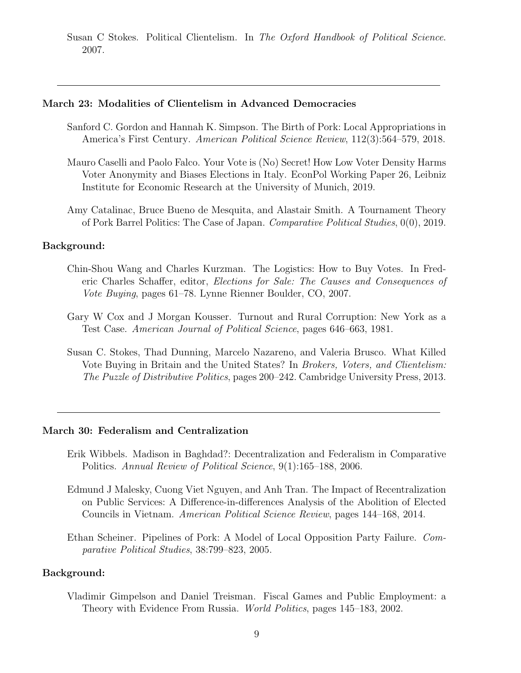Susan C Stokes. Political Clientelism. In The Oxford Handbook of Political Science. 2007.

#### March 23: Modalities of Clientelism in Advanced Democracies

- Sanford C. Gordon and Hannah K. Simpson. The Birth of Pork: Local Appropriations in America's First Century. American Political Science Review, 112(3):564–579, 2018.
- Mauro Caselli and Paolo Falco. Your Vote is (No) Secret! How Low Voter Density Harms Voter Anonymity and Biases Elections in Italy. EconPol Working Paper 26, Leibniz Institute for Economic Research at the University of Munich, 2019.
- Amy Catalinac, Bruce Bueno de Mesquita, and Alastair Smith. A Tournament Theory of Pork Barrel Politics: The Case of Japan. Comparative Political Studies, 0(0), 2019.

#### Background:

- Chin-Shou Wang and Charles Kurzman. The Logistics: How to Buy Votes. In Frederic Charles Schaffer, editor, Elections for Sale: The Causes and Consequences of Vote Buying, pages 61–78. Lynne Rienner Boulder, CO, 2007.
- Gary W Cox and J Morgan Kousser. Turnout and Rural Corruption: New York as a Test Case. American Journal of Political Science, pages 646–663, 1981.
- Susan C. Stokes, Thad Dunning, Marcelo Nazareno, and Valeria Brusco. What Killed Vote Buying in Britain and the United States? In Brokers, Voters, and Clientelism: The Puzzle of Distributive Politics, pages 200–242. Cambridge University Press, 2013.

#### March 30: Federalism and Centralization

- Erik Wibbels. Madison in Baghdad?: Decentralization and Federalism in Comparative Politics. Annual Review of Political Science, 9(1):165–188, 2006.
- Edmund J Malesky, Cuong Viet Nguyen, and Anh Tran. The Impact of Recentralization on Public Services: A Difference-in-differences Analysis of the Abolition of Elected Councils in Vietnam. American Political Science Review, pages 144–168, 2014.
- Ethan Scheiner. Pipelines of Pork: A Model of Local Opposition Party Failure. Comparative Political Studies, 38:799–823, 2005.

#### Background:

Vladimir Gimpelson and Daniel Treisman. Fiscal Games and Public Employment: a Theory with Evidence From Russia. World Politics, pages 145–183, 2002.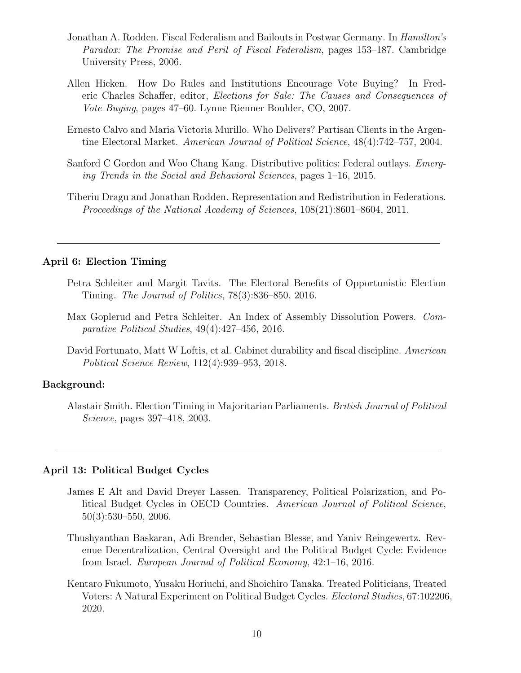- Jonathan A. Rodden. Fiscal Federalism and Bailouts in Postwar Germany. In Hamilton's Paradox: The Promise and Peril of Fiscal Federalism, pages 153–187. Cambridge University Press, 2006.
- Allen Hicken. How Do Rules and Institutions Encourage Vote Buying? In Frederic Charles Schaffer, editor, Elections for Sale: The Causes and Consequences of Vote Buying, pages 47–60. Lynne Rienner Boulder, CO, 2007.
- Ernesto Calvo and Maria Victoria Murillo. Who Delivers? Partisan Clients in the Argentine Electoral Market. American Journal of Political Science, 48(4):742–757, 2004.
- Sanford C Gordon and Woo Chang Kang. Distributive politics: Federal outlays. Emerging Trends in the Social and Behavioral Sciences, pages 1–16, 2015.
- Tiberiu Dragu and Jonathan Rodden. Representation and Redistribution in Federations. Proceedings of the National Academy of Sciences, 108(21):8601–8604, 2011.

#### April 6: Election Timing

- Petra Schleiter and Margit Tavits. The Electoral Benefits of Opportunistic Election Timing. The Journal of Politics, 78(3):836–850, 2016.
- Max Goplerud and Petra Schleiter. An Index of Assembly Dissolution Powers. Comparative Political Studies, 49(4):427–456, 2016.
- David Fortunato, Matt W Loftis, et al. Cabinet durability and fiscal discipline. American Political Science Review, 112(4):939–953, 2018.

#### Background:

Alastair Smith. Election Timing in Majoritarian Parliaments. British Journal of Political Science, pages 397–418, 2003.

#### April 13: Political Budget Cycles

- James E Alt and David Dreyer Lassen. Transparency, Political Polarization, and Political Budget Cycles in OECD Countries. American Journal of Political Science, 50(3):530–550, 2006.
- Thushyanthan Baskaran, Adi Brender, Sebastian Blesse, and Yaniv Reingewertz. Revenue Decentralization, Central Oversight and the Political Budget Cycle: Evidence from Israel. European Journal of Political Economy, 42:1–16, 2016.
- Kentaro Fukumoto, Yusaku Horiuchi, and Shoichiro Tanaka. Treated Politicians, Treated Voters: A Natural Experiment on Political Budget Cycles. Electoral Studies, 67:102206, 2020.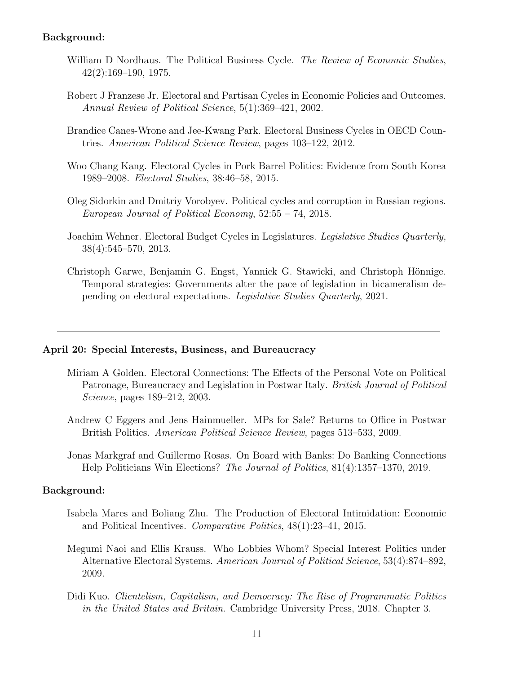#### Background:

- William D Nordhaus. The Political Business Cycle. The Review of Economic Studies, 42(2):169–190, 1975.
- Robert J Franzese Jr. Electoral and Partisan Cycles in Economic Policies and Outcomes. Annual Review of Political Science, 5(1):369–421, 2002.
- Brandice Canes-Wrone and Jee-Kwang Park. Electoral Business Cycles in OECD Countries. American Political Science Review, pages 103–122, 2012.
- Woo Chang Kang. Electoral Cycles in Pork Barrel Politics: Evidence from South Korea 1989–2008. Electoral Studies, 38:46–58, 2015.
- Oleg Sidorkin and Dmitriy Vorobyev. Political cycles and corruption in Russian regions. European Journal of Political Economy, 52:55 – 74, 2018.
- Joachim Wehner. Electoral Budget Cycles in Legislatures. Legislative Studies Quarterly, 38(4):545–570, 2013.
- Christoph Garwe, Benjamin G. Engst, Yannick G. Stawicki, and Christoph Hönnige. Temporal strategies: Governments alter the pace of legislation in bicameralism depending on electoral expectations. Legislative Studies Quarterly, 2021.

#### April 20: Special Interests, Business, and Bureaucracy

- Miriam A Golden. Electoral Connections: The Effects of the Personal Vote on Political Patronage, Bureaucracy and Legislation in Postwar Italy. British Journal of Political Science, pages 189–212, 2003.
- Andrew C Eggers and Jens Hainmueller. MPs for Sale? Returns to Office in Postwar British Politics. American Political Science Review, pages 513–533, 2009.
- Jonas Markgraf and Guillermo Rosas. On Board with Banks: Do Banking Connections Help Politicians Win Elections? The Journal of Politics, 81(4):1357–1370, 2019.

#### Background:

- Isabela Mares and Boliang Zhu. The Production of Electoral Intimidation: Economic and Political Incentives. Comparative Politics, 48(1):23–41, 2015.
- Megumi Naoi and Ellis Krauss. Who Lobbies Whom? Special Interest Politics under Alternative Electoral Systems. American Journal of Political Science, 53(4):874–892, 2009.
- Didi Kuo. Clientelism, Capitalism, and Democracy: The Rise of Programmatic Politics in the United States and Britain. Cambridge University Press, 2018. Chapter 3.